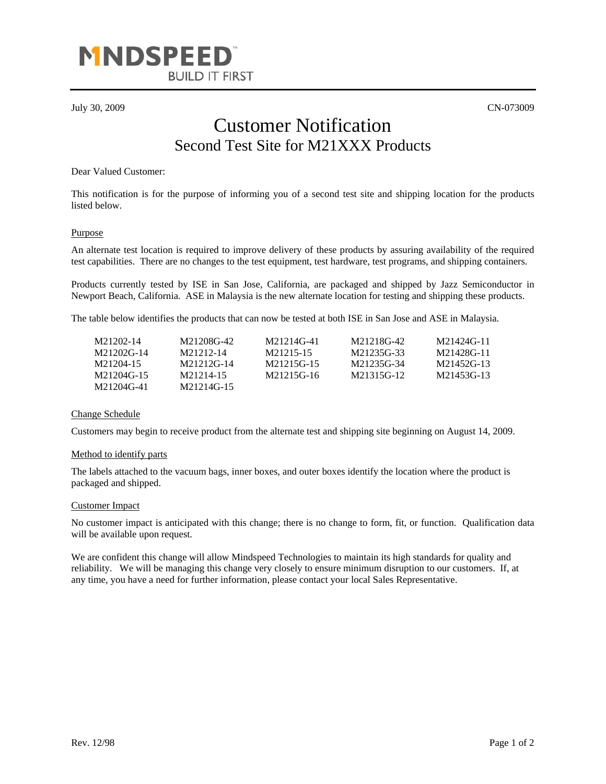

July 30, 2009 CN-073009

## Customer Notification Second Test Site for M21XXX Products

Dear Valued Customer:

This notification is for the purpose of informing you of a second test site and shipping location for the products listed below.

#### Purpose

An alternate test location is required to improve delivery of these products by assuring availability of the required test capabilities. There are no changes to the test equipment, test hardware, test programs, and shipping containers.

Products currently tested by ISE in San Jose, California, are packaged and shipped by Jazz Semiconductor in Newport Beach, California. ASE in Malaysia is the new alternate location for testing and shipping these products.

The table below identifies the products that can now be tested at both ISE in San Jose and ASE in Malaysia.

| M21202-14  | M21208G-42 | M21214G-41 | M21218G-42 | M21424G-11 |
|------------|------------|------------|------------|------------|
| M21202G-14 | M21212-14  | M21215-15  | M21235G-33 | M21428G-11 |
| M21204-15  | M21212G-14 | M21215G-15 | M21235G-34 | M21452G-13 |
| M21204G-15 | M21214-15  | M21215G-16 | M21315G-12 | M21453G-13 |
| M21204G-41 | M21214G-15 |            |            |            |

### Change Schedule

Customers may begin to receive product from the alternate test and shipping site beginning on August 14, 2009.

#### Method to identify parts

The labels attached to the vacuum bags, inner boxes, and outer boxes identify the location where the product is packaged and shipped.

#### Customer Impact

No customer impact is anticipated with this change; there is no change to form, fit, or function. Qualification data will be available upon request.

We are confident this change will allow Mindspeed Technologies to maintain its high standards for quality and reliability. We will be managing this change very closely to ensure minimum disruption to our customers. If, at any time, you have a need for further information, please contact your local Sales Representative.